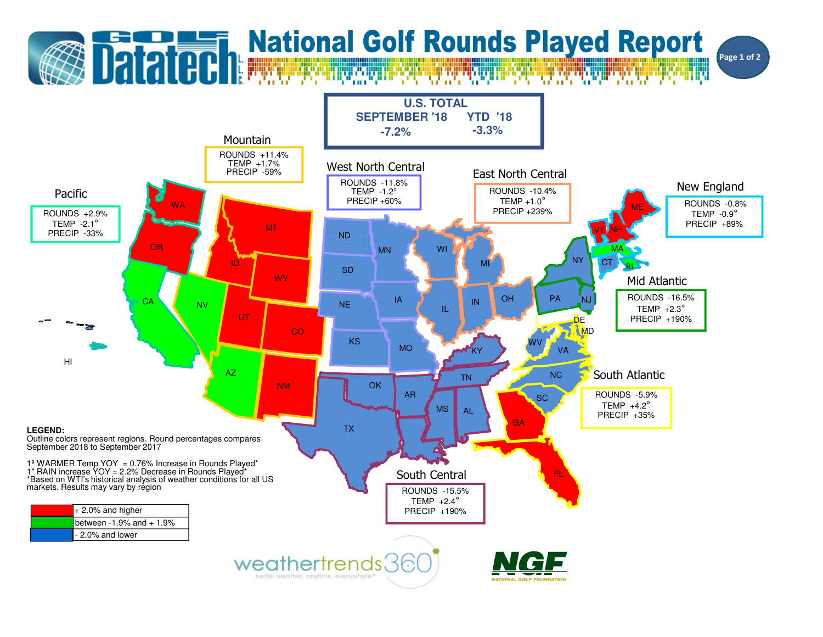